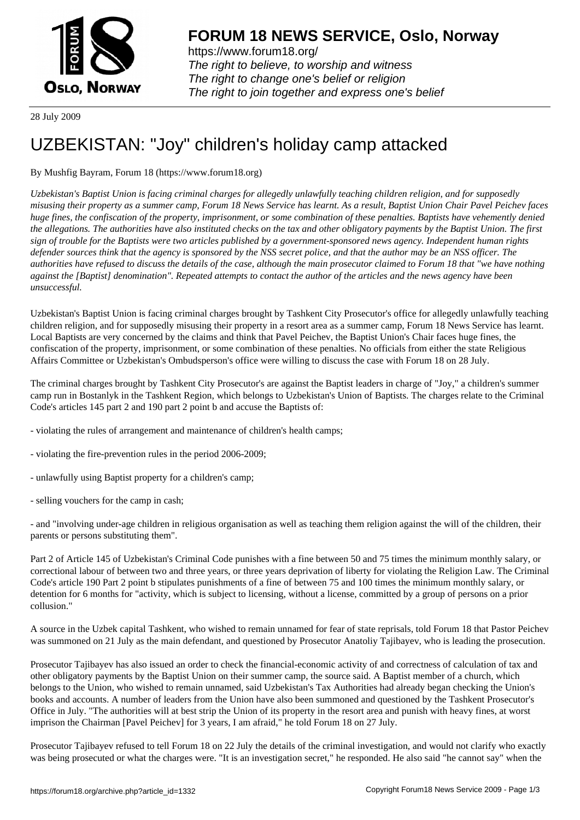

https://www.forum18.org/ The right to believe, to worship and witness The right to change one's belief or religion [The right to join together a](https://www.forum18.org/)nd express one's belief

28 July 2009

## [UZBEKISTAN:](https://www.forum18.org) "Joy" children's holiday camp attacked

By Mushfig Bayram, Forum 18 (https://www.forum18.org)

*Uzbekistan's Baptist Union is facing criminal charges for allegedly unlawfully teaching children religion, and for supposedly misusing their property as a summer camp, Forum 18 News Service has learnt. As a result, Baptist Union Chair Pavel Peichev faces huge fines, the confiscation of the property, imprisonment, or some combination of these penalties. Baptists have vehemently denied the allegations. The authorities have also instituted checks on the tax and other obligatory payments by the Baptist Union. The first sign of trouble for the Baptists were two articles published by a government-sponsored news agency. Independent human rights defender sources think that the agency is sponsored by the NSS secret police, and that the author may be an NSS officer. The authorities have refused to discuss the details of the case, although the main prosecutor claimed to Forum 18 that "we have nothing against the [Baptist] denomination". Repeated attempts to contact the author of the articles and the news agency have been unsuccessful.*

Uzbekistan's Baptist Union is facing criminal charges brought by Tashkent City Prosecutor's office for allegedly unlawfully teaching children religion, and for supposedly misusing their property in a resort area as a summer camp, Forum 18 News Service has learnt. Local Baptists are very concerned by the claims and think that Pavel Peichev, the Baptist Union's Chair faces huge fines, the confiscation of the property, imprisonment, or some combination of these penalties. No officials from either the state Religious Affairs Committee or Uzbekistan's Ombudsperson's office were willing to discuss the case with Forum 18 on 28 July.

The criminal charges brought by Tashkent City Prosecutor's are against the Baptist leaders in charge of "Joy," a children's summer camp run in Bostanlyk in the Tashkent Region, which belongs to Uzbekistan's Union of Baptists. The charges relate to the Criminal Code's articles 145 part 2 and 190 part 2 point b and accuse the Baptists of:

- violating the rules of arrangement and maintenance of children's health camps;
- violating the fire-prevention rules in the period 2006-2009;
- unlawfully using Baptist property for a children's camp;
- selling vouchers for the camp in cash;

- and "involving under-age children in religious organisation as well as teaching them religion against the will of the children, their parents or persons substituting them".

Part 2 of Article 145 of Uzbekistan's Criminal Code punishes with a fine between 50 and 75 times the minimum monthly salary, or correctional labour of between two and three years, or three years deprivation of liberty for violating the Religion Law. The Criminal Code's article 190 Part 2 point b stipulates punishments of a fine of between 75 and 100 times the minimum monthly salary, or detention for 6 months for "activity, which is subject to licensing, without a license, committed by a group of persons on a prior collusion."

A source in the Uzbek capital Tashkent, who wished to remain unnamed for fear of state reprisals, told Forum 18 that Pastor Peichev was summoned on 21 July as the main defendant, and questioned by Prosecutor Anatoliy Tajibayev, who is leading the prosecution.

Prosecutor Tajibayev has also issued an order to check the financial-economic activity of and correctness of calculation of tax and other obligatory payments by the Baptist Union on their summer camp, the source said. A Baptist member of a church, which belongs to the Union, who wished to remain unnamed, said Uzbekistan's Tax Authorities had already began checking the Union's books and accounts. A number of leaders from the Union have also been summoned and questioned by the Tashkent Prosecutor's Office in July. "The authorities will at best strip the Union of its property in the resort area and punish with heavy fines, at worst imprison the Chairman [Pavel Peichev] for 3 years, I am afraid," he told Forum 18 on 27 July.

Prosecutor Tajibayev refused to tell Forum 18 on 22 July the details of the criminal investigation, and would not clarify who exactly was being prosecuted or what the charges were. "It is an investigation secret," he responded. He also said "he cannot say" when the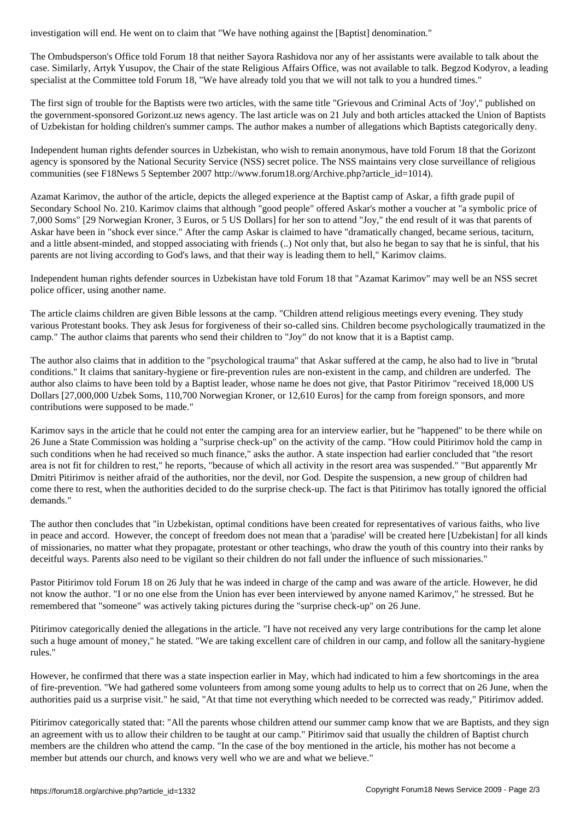The Ombudsperson's Office told Forum 18 that neither Sayora Rashidova nor any of her assistants were available to talk about the case. Similarly, Artyk Yusupov, the Chair of the state Religious Affairs Office, was not available to talk. Begzod Kodyrov, a leading specialist at the Committee told Forum 18, "We have already told you that we will not talk to you a hundred times."

The first sign of trouble for the Baptists were two articles, with the same title "Grievous and Criminal Acts of 'Joy'," published on the government-sponsored Gorizont.uz news agency. The last article was on 21 July and both articles attacked the Union of Baptists of Uzbekistan for holding children's summer camps. The author makes a number of allegations which Baptists categorically deny.

Independent human rights defender sources in Uzbekistan, who wish to remain anonymous, have told Forum 18 that the Gorizont agency is sponsored by the National Security Service (NSS) secret police. The NSS maintains very close surveillance of religious communities (see F18News 5 September 2007 http://www.forum18.org/Archive.php?article\_id=1014).

Azamat Karimov, the author of the article, depicts the alleged experience at the Baptist camp of Askar, a fifth grade pupil of Secondary School No. 210. Karimov claims that although "good people" offered Askar's mother a voucher at "a symbolic price of 7,000 Soms" [29 Norwegian Kroner, 3 Euros, or 5 US Dollars] for her son to attend "Joy," the end result of it was that parents of Askar have been in "shock ever since." After the camp Askar is claimed to have "dramatically changed, became serious, taciturn, and a little absent-minded, and stopped associating with friends (..) Not only that, but also he began to say that he is sinful, that his parents are not living according to God's laws, and that their way is leading them to hell," Karimov claims.

Independent human rights defender sources in Uzbekistan have told Forum 18 that "Azamat Karimov" may well be an NSS secret police officer, using another name.

The article claims children are given Bible lessons at the camp. "Children attend religious meetings every evening. They study various Protestant books. They ask Jesus for forgiveness of their so-called sins. Children become psychologically traumatized in the camp." The author claims that parents who send their children to "Joy" do not know that it is a Baptist camp.

The author also claims that in addition to the "psychological trauma" that Askar suffered at the camp, he also had to live in "brutal conditions." It claims that sanitary-hygiene or fire-prevention rules are non-existent in the camp, and children are underfed. The author also claims to have been told by a Baptist leader, whose name he does not give, that Pastor Pitirimov "received 18,000 US Dollars [27,000,000 Uzbek Soms, 110,700 Norwegian Kroner, or 12,610 Euros] for the camp from foreign sponsors, and more contributions were supposed to be made."

Karimov says in the article that he could not enter the camping area for an interview earlier, but he "happened" to be there while on 26 June a State Commission was holding a "surprise check-up" on the activity of the camp. "How could Pitirimov hold the camp in such conditions when he had received so much finance," asks the author. A state inspection had earlier concluded that "the resort area is not fit for children to rest," he reports, "because of which all activity in the resort area was suspended." "But apparently Mr Dmitri Pitirimov is neither afraid of the authorities, nor the devil, nor God. Despite the suspension, a new group of children had come there to rest, when the authorities decided to do the surprise check-up. The fact is that Pitirimov has totally ignored the official demands."

The author then concludes that "in Uzbekistan, optimal conditions have been created for representatives of various faiths, who live in peace and accord. However, the concept of freedom does not mean that a 'paradise' will be created here [Uzbekistan] for all kinds of missionaries, no matter what they propagate, protestant or other teachings, who draw the youth of this country into their ranks by deceitful ways. Parents also need to be vigilant so their children do not fall under the influence of such missionaries."

Pastor Pitirimov told Forum 18 on 26 July that he was indeed in charge of the camp and was aware of the article. However, he did not know the author. "I or no one else from the Union has ever been interviewed by anyone named Karimov," he stressed. But he remembered that "someone" was actively taking pictures during the "surprise check-up" on 26 June.

Pitirimov categorically denied the allegations in the article. "I have not received any very large contributions for the camp let alone such a huge amount of money," he stated. "We are taking excellent care of children in our camp, and follow all the sanitary-hygiene rules."

However, he confirmed that there was a state inspection earlier in May, which had indicated to him a few shortcomings in the area of fire-prevention. "We had gathered some volunteers from among some young adults to help us to correct that on 26 June, when the authorities paid us a surprise visit." he said, "At that time not everything which needed to be corrected was ready," Pitirimov added.

Pitirimov categorically stated that: "All the parents whose children attend our summer camp know that we are Baptists, and they sign an agreement with us to allow their children to be taught at our camp." Pitirimov said that usually the children of Baptist church members are the children who attend the camp. "In the case of the boy mentioned in the article, his mother has not become a member but attends our church, and knows very well who we are and what we believe."